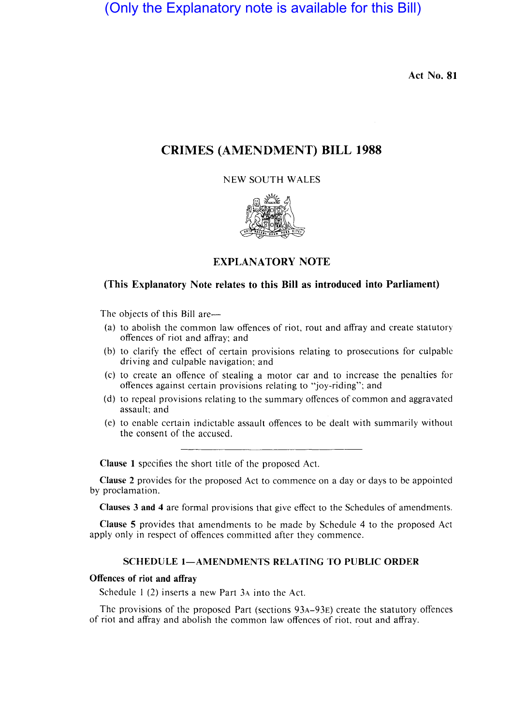(Only the Explanatory note is available for this Bill)

Act No. 81

# CRIMES (AMENDMENT) BILL 1988

NEW SOUTH WALES



# EXPLANATORY NOTE

# (This Explanatory Note relates to this Bill as introduced into Parliament)

The objects of this Bill are-

- (a) to abolish the common law offences of riot, rout and affray and create statutory offences of riot and affray; and
- (b) to clarify the effect of certain provisions relating to prosecutions for culpablc driving and culpable navigation; and
- (c) to create an offence of stealing a motor car and to increase the penalties for offences against certain provisions relating to "joy-riding"; and
- (d) to repeal provisions relating to the summary offences of common and aggravated assault; and
- (e) to enable certain indictable assault offences to be dealt with summarily without the consent of the accused.

Clause I specifies the short title of the proposed Act.

Clause 2 provides for the proposed Act to commence on a day or days to be appointed by proclamation.

Clauses 3 and 4 are formal provisions that give effect to the Schedules of amendments.

Clause 5 provides that amendments to be made by Schedule 4 to the proposed Act apply only in respect of offences committed after they commence.

## SCHEDULE 1-AMENDMENTS RELATING TO PUBLIC ORDER

### Offences of riot and affray

Schedule I (2) inserts a new Part 3A into the Act.

The provisions of the proposed Part (sections 93A-93E) create the statutory offences of riot and affray and abolish the common law offences of riot, rout and affray.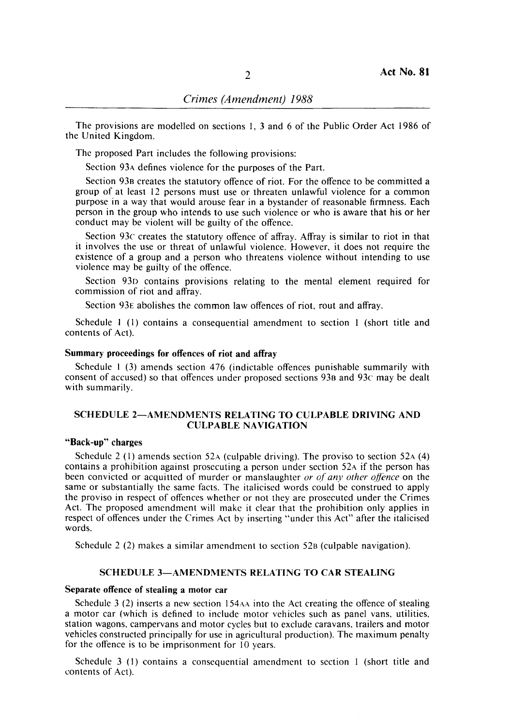The provisions are modelled on sections I, 3 and 6 of the Public Order Act 1986 of the United Kingdom.

The proposed Part includes the following provisions:

Section 93A defines violence for the purposes of the Part.

Section 93B creates the statutory offence of riot. For the offence to be committed a group of at least 12 persons must use or threaten unlawful violence for a common purpose in a way that would arouse fear in a bystander of reasonable firmness. Each person in the group who intends to use such violence or who is aware that his or her conduct may be violent will be guilty of the offence.

Section 93c creates the statutory offence of affray. Affray is similar to riot in that it involves the use or threat of unlawful violence. However, it does not require the existence of a group and a person who threatens violence without intending to use violence may be guilty of the offence.

Section 93D contains provisions relating to the mental element required for commission of riot and affray.

Section 93E abolishes the common law offences of riot, rout and affray.

Schedule I (I) contains a consequential amendment to section 1 (short title and contents of Act).

### Summary proceedings for offences of riot and affray

Schedule I (3) amends section 476 (indictable offences punishable summarily with consent of accused) so that offences under proposed sections 93B and 93c may be dealt with summarily.

## SCHEDULE 2-AMENDMENTS RELATING TO CULPABLE DRIVING AND CULPABLE NAVIGATION

# "Back-up" charges

Schedule 2 (1) amends section 52A (culpable driving). The proviso to section 52A (4) contains a prohibition against prosecuting a person under section 52A if the person has been convicted or acquitted of murder or manslaughter *or of any other offence* on the same or substantially the same facts. The italicised words could be construed to apply the proviso in respect of offences whether or not they are prosecuted under the Crimes Act. The proposed amendment will make it clear that the prohibition only applies in respect of offences under the Crimes Act by inserting "under this Act" after the italicised words.

Schedule 2 (2) makes a similar amendment to section 52B (culpable navigation).

#### SCHEDULE 3-AMENDMENTS RELATING TO CAR STEALING

#### Separate offence of stealing a motor car

Schedule 3 (2) inserts a new section  $154AA$  into the Act creating the offence of stealing a motor car (which is defined to include motor vehicles such as panel vans, utilities, station wagons, campervans and motor cycles but to exclude caravans, trailers and motor vehicles constructed principally for use in agricultural production). The maximum penalty for the offence is to be imprisonment for 10 years.

Schedule 3 (I) contains a consequential amendment to section I (short title and contents of Act).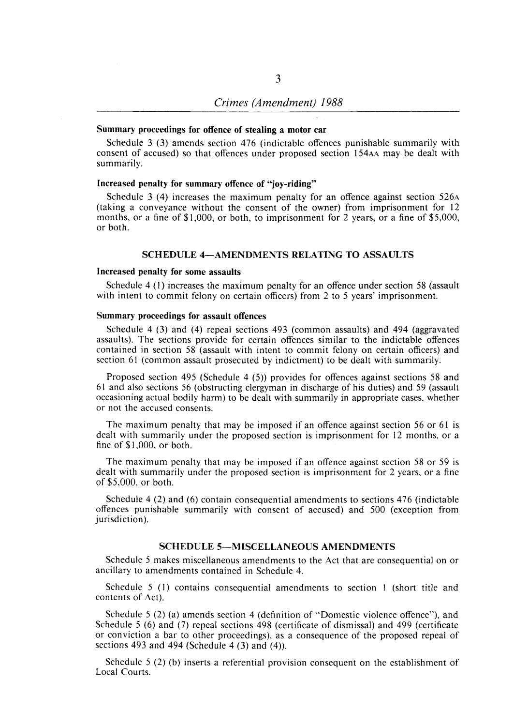#### Summary proceedings for offence of stealing a motor car

Schedule 3 (3) amends section 476 (indictable offences punishable summarily with consent of accused) so that offences under proposed section 154AA may be dealt with summarily.

#### Increased penalty for summary offence of "joy-riding"

Schedule 3 (4) increases the maximum penalty for an offence against section 526A (taking a conveyance without the consent of the owner) from imprisonment for 12 months, or a fine of \$1,000, or both, to imprisonment for 2 years, or a fine of \$5,000, or both.

#### SCHEDULE 4-AMENDMENTS RELATING TO ASSAULTS

### Increased penalty for some assaults

Schedule 4 (l) increases the maximum penalty for an offence under section 58 (assault with intent to commit felony on certain officers) from 2 to 5 years' imprisonment.

# Summary proceedings for assault offences

Schedule 4 (3) and (4) repeal sections 493 (common assaults) and 494 (aggravated assaults). The sections provide for certain offences similar to the indictable offences contained in section 58 (assault with intent to commit felony on certain officers) and section 61 (common assault prosecuted by indictment) to be dealt with summarily.

Proposed section 495 (Schedule 4 (5)) provides for offences against sections 58 and 61 and also sections 56 (obstructing clergyman in discharge of his duties) and 59 (assault occasioning actual bodily harm) to be dealt with summarily in appropriate cases, whether or not the accused consents.

The maximum penalty that may be imposed if an offence against section 56 or 61 is dealt with summarily under the proposed section is imprisonment for 12 months, or a fine of \$1,000, or both.

The maximum penalty that may be imposed if an offence against section 58 or 59 is dealt with summarily under the proposed section is imprisonment for 2 years, or a fine of \$5,000, or both.

Schedule 4 (2) and (6) contain consequential amendments to sections 476 (indictable offences punishable summarily with consent of accused) and 500 (exception from jurisdiction).

### SCHEDULE 5-MISCELLANEOUS AMENDMENTS

Schedule 5 makes miscellaneous amendments to the Act that are consequential on or ancillary to amendments contained in Schedule 4.

Schedule 5 (I) contains consequential amendments to section I (short title and contents of Act).

Schedule 5 (2) (a) amends section 4 (definition of "Domestic violence offence"), and Schedule 5 (6) and (7) repeal sections 498 (certificate of dismissal) and 499 (certificate or conviction a bar to other proceedings), as a consequence of the proposed repeal of sections 493 and 494 (Schedule 4  $(3)$  and  $(4)$ ).

Schedule 5 (2) (b) inserts a referential provision consequent on the establishment of Local Courts.